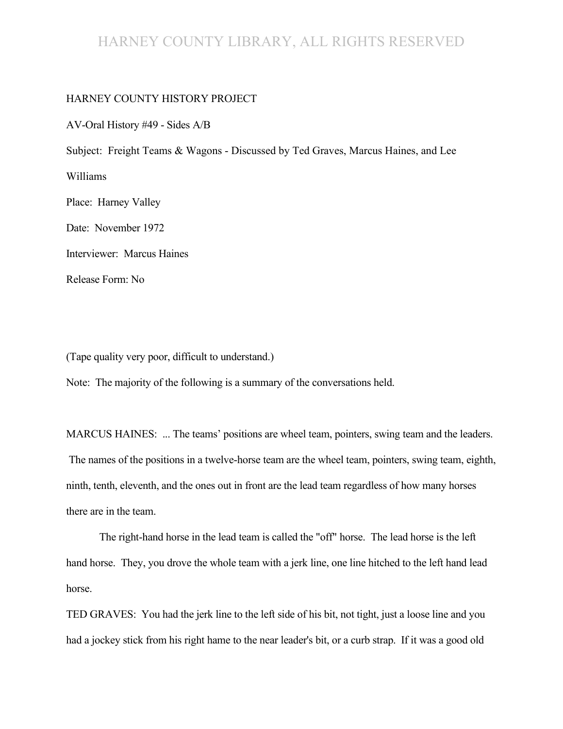#### HARNEY COUNTY LIBRARY, ALL RIGHTS RESERVED

#### HARNEY COUNTY HISTORY PROJECT

AV-Oral History #49 - Sides A/B

Subject: Freight Teams & Wagons - Discussed by Ted Graves, Marcus Haines, and Lee

Williams

Place: Harney Valley

Date: November 1972

Interviewer: Marcus Haines

Release Form: No

(Tape quality very poor, difficult to understand.)

Note: The majority of the following is a summary of the conversations held.

MARCUS HAINES: ... The teams' positions are wheel team, pointers, swing team and the leaders. The names of the positions in a twelve-horse team are the wheel team, pointers, swing team, eighth, ninth, tenth, eleventh, and the ones out in front are the lead team regardless of how many horses there are in the team.

The right-hand horse in the lead team is called the "off" horse. The lead horse is the left hand horse. They, you drove the whole team with a jerk line, one line hitched to the left hand lead horse.

TED GRAVES: You had the jerk line to the left side of his bit, not tight, just a loose line and you had a jockey stick from his right hame to the near leader's bit, or a curb strap. If it was a good old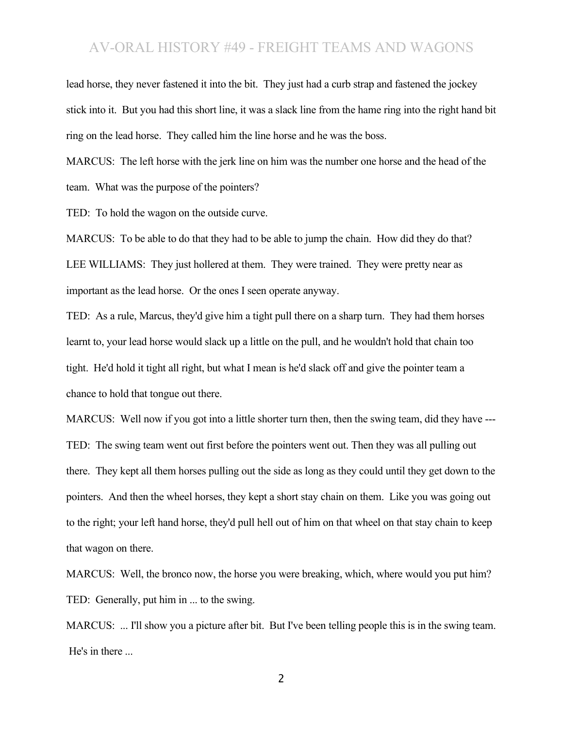lead horse, they never fastened it into the bit. They just had a curb strap and fastened the jockey stick into it. But you had this short line, it was a slack line from the hame ring into the right hand bit ring on the lead horse. They called him the line horse and he was the boss.

MARCUS: The left horse with the jerk line on him was the number one horse and the head of the team. What was the purpose of the pointers?

TED: To hold the wagon on the outside curve.

MARCUS: To be able to do that they had to be able to jump the chain. How did they do that? LEE WILLIAMS: They just hollered at them. They were trained. They were pretty near as important as the lead horse. Or the ones I seen operate anyway.

TED: As a rule, Marcus, they'd give him a tight pull there on a sharp turn. They had them horses learnt to, your lead horse would slack up a little on the pull, and he wouldn't hold that chain too tight. He'd hold it tight all right, but what I mean is he'd slack off and give the pointer team a chance to hold that tongue out there.

MARCUS: Well now if you got into a little shorter turn then, then the swing team, did they have --- TED: The swing team went out first before the pointers went out. Then they was all pulling out there. They kept all them horses pulling out the side as long as they could until they get down to the pointers. And then the wheel horses, they kept a short stay chain on them. Like you was going out to the right; your left hand horse, they'd pull hell out of him on that wheel on that stay chain to keep that wagon on there.

MARCUS: Well, the bronco now, the horse you were breaking, which, where would you put him? TED: Generally, put him in ... to the swing.

MARCUS: ... I'll show you a picture after bit. But I've been telling people this is in the swing team. He's in there ...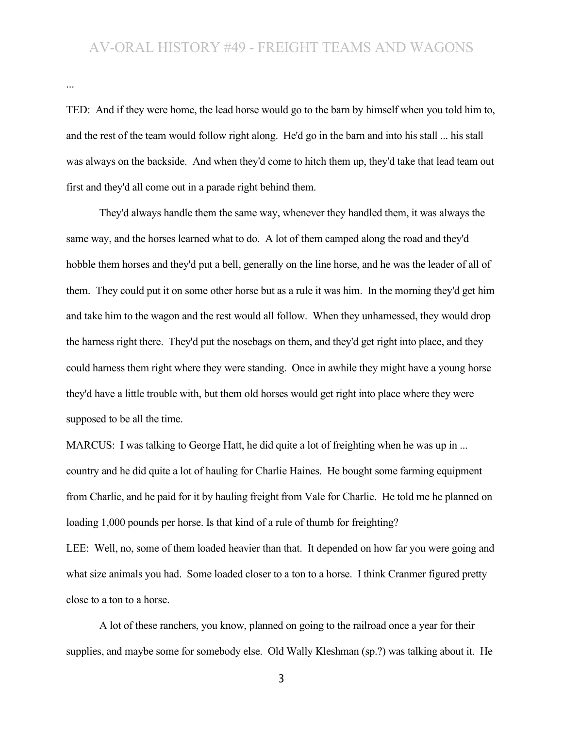...

TED: And if they were home, the lead horse would go to the barn by himself when you told him to, and the rest of the team would follow right along. He'd go in the barn and into his stall ... his stall was always on the backside. And when they'd come to hitch them up, they'd take that lead team out first and they'd all come out in a parade right behind them.

They'd always handle them the same way, whenever they handled them, it was always the same way, and the horses learned what to do. A lot of them camped along the road and they'd hobble them horses and they'd put a bell, generally on the line horse, and he was the leader of all of them. They could put it on some other horse but as a rule it was him. In the morning they'd get him and take him to the wagon and the rest would all follow. When they unharnessed, they would drop the harness right there. They'd put the nosebags on them, and they'd get right into place, and they could harness them right where they were standing. Once in awhile they might have a young horse they'd have a little trouble with, but them old horses would get right into place where they were supposed to be all the time.

MARCUS: I was talking to George Hatt, he did quite a lot of freighting when he was up in ... country and he did quite a lot of hauling for Charlie Haines. He bought some farming equipment from Charlie, and he paid for it by hauling freight from Vale for Charlie. He told me he planned on loading 1,000 pounds per horse. Is that kind of a rule of thumb for freighting?

LEE: Well, no, some of them loaded heavier than that. It depended on how far you were going and what size animals you had. Some loaded closer to a ton to a horse. I think Cranmer figured pretty close to a ton to a horse.

A lot of these ranchers, you know, planned on going to the railroad once a year for their supplies, and maybe some for somebody else. Old Wally Kleshman (sp.?) was talking about it. He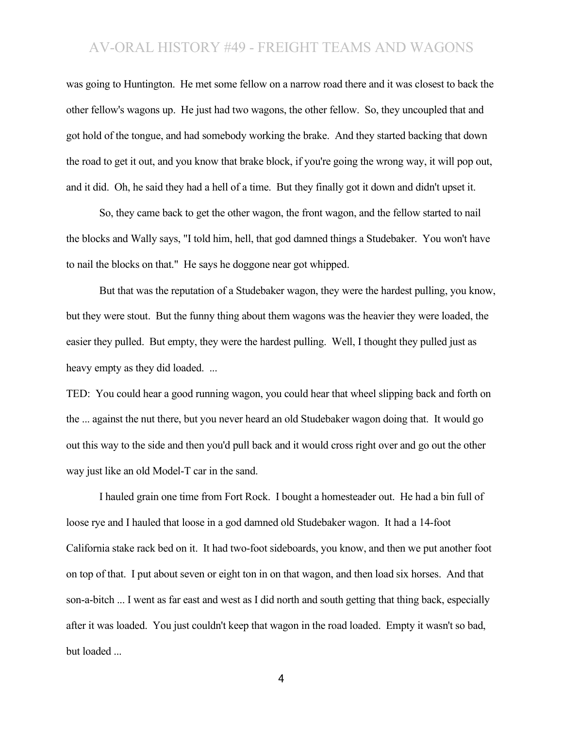was going to Huntington. He met some fellow on a narrow road there and it was closest to back the other fellow's wagons up. He just had two wagons, the other fellow. So, they uncoupled that and got hold of the tongue, and had somebody working the brake. And they started backing that down the road to get it out, and you know that brake block, if you're going the wrong way, it will pop out, and it did. Oh, he said they had a hell of a time. But they finally got it down and didn't upset it.

So, they came back to get the other wagon, the front wagon, and the fellow started to nail the blocks and Wally says, "I told him, hell, that god damned things a Studebaker. You won't have to nail the blocks on that." He says he doggone near got whipped.

But that was the reputation of a Studebaker wagon, they were the hardest pulling, you know, but they were stout. But the funny thing about them wagons was the heavier they were loaded, the easier they pulled. But empty, they were the hardest pulling. Well, I thought they pulled just as heavy empty as they did loaded. ...

TED: You could hear a good running wagon, you could hear that wheel slipping back and forth on the ... against the nut there, but you never heard an old Studebaker wagon doing that. It would go out this way to the side and then you'd pull back and it would cross right over and go out the other way just like an old Model-T car in the sand.

I hauled grain one time from Fort Rock. I bought a homesteader out. He had a bin full of loose rye and I hauled that loose in a god damned old Studebaker wagon. It had a 14-foot California stake rack bed on it. It had two-foot sideboards, you know, and then we put another foot on top of that. I put about seven or eight ton in on that wagon, and then load six horses. And that son-a-bitch ... I went as far east and west as I did north and south getting that thing back, especially after it was loaded. You just couldn't keep that wagon in the road loaded. Empty it wasn't so bad, but loaded ...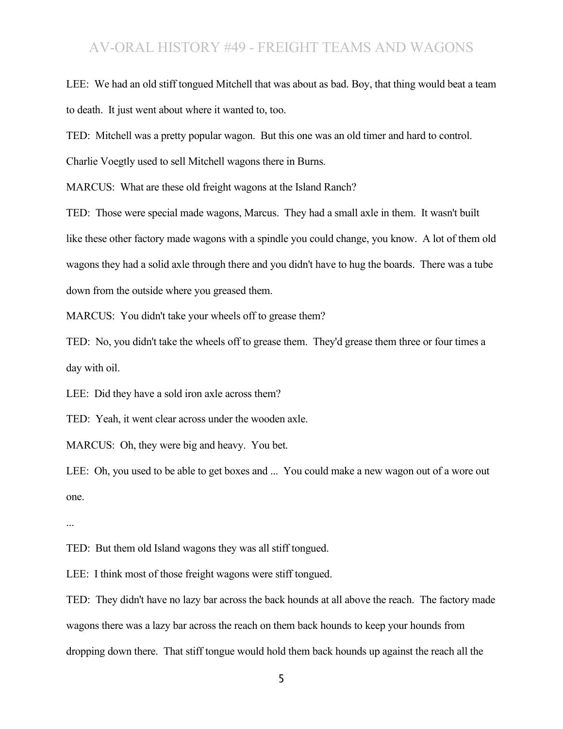LEE: We had an old stiff tongued Mitchell that was about as bad. Boy, that thing would beat a team to death. It just went about where it wanted to, too.

TED: Mitchell was a pretty popular wagon. But this one was an old timer and hard to control.

Charlie Voegtly used to sell Mitchell wagons there in Burns.

MARCUS: What are these old freight wagons at the Island Ranch?

TED: Those were special made wagons, Marcus. They had a small axle in them. It wasn't built like these other factory made wagons with a spindle you could change, you know. A lot of them old wagons they had a solid axle through there and you didn't have to hug the boards. There was a tube down from the outside where you greased them.

MARCUS: You didn't take your wheels off to grease them?

TED: No, you didn't take the wheels off to grease them. They'd grease them three or four times a day with oil.

LEE: Did they have a sold iron axle across them?

TED: Yeah, it went clear across under the wooden axle.

MARCUS: Oh, they were big and heavy. You bet.

LEE: Oh, you used to be able to get boxes and ... You could make a new wagon out of a wore out one.

...

TED: But them old Island wagons they was all stiff tongued.

LEE: I think most of those freight wagons were stiff tongued.

TED: They didn't have no lazy bar across the back hounds at all above the reach. The factory made wagons there was a lazy bar across the reach on them back hounds to keep your hounds from dropping down there. That stiff tongue would hold them back hounds up against the reach all the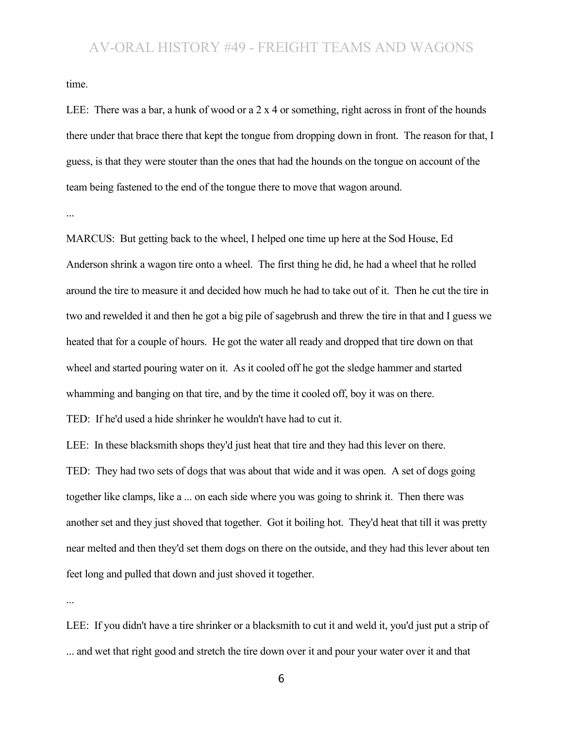time.

LEE: There was a bar, a hunk of wood or a 2 x 4 or something, right across in front of the hounds there under that brace there that kept the tongue from dropping down in front. The reason for that, I guess, is that they were stouter than the ones that had the hounds on the tongue on account of the team being fastened to the end of the tongue there to move that wagon around.

...

MARCUS: But getting back to the wheel, I helped one time up here at the Sod House, Ed Anderson shrink a wagon tire onto a wheel. The first thing he did, he had a wheel that he rolled around the tire to measure it and decided how much he had to take out of it. Then he cut the tire in two and rewelded it and then he got a big pile of sagebrush and threw the tire in that and I guess we heated that for a couple of hours. He got the water all ready and dropped that tire down on that wheel and started pouring water on it. As it cooled off he got the sledge hammer and started whamming and banging on that tire, and by the time it cooled off, boy it was on there. TED: If he'd used a hide shrinker he wouldn't have had to cut it.

LEE: In these blacksmith shops they'd just heat that tire and they had this lever on there.

TED: They had two sets of dogs that was about that wide and it was open. A set of dogs going together like clamps, like a ... on each side where you was going to shrink it. Then there was another set and they just shoved that together. Got it boiling hot. They'd heat that till it was pretty near melted and then they'd set them dogs on there on the outside, and they had this lever about ten feet long and pulled that down and just shoved it together.

...

LEE: If you didn't have a tire shrinker or a blacksmith to cut it and weld it, you'd just put a strip of ... and wet that right good and stretch the tire down over it and pour your water over it and that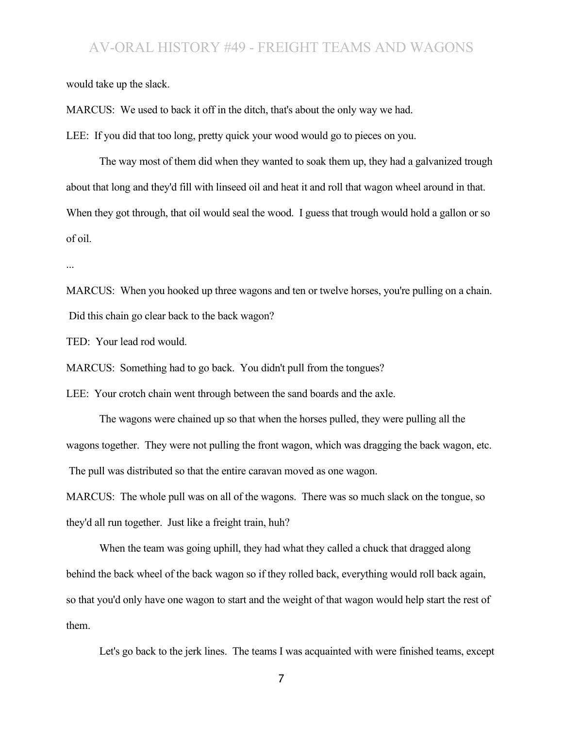would take up the slack.

MARCUS: We used to back it off in the ditch, that's about the only way we had.

LEE: If you did that too long, pretty quick your wood would go to pieces on you.

The way most of them did when they wanted to soak them up, they had a galvanized trough about that long and they'd fill with linseed oil and heat it and roll that wagon wheel around in that. When they got through, that oil would seal the wood. I guess that trough would hold a gallon or so of oil.

...

MARCUS: When you hooked up three wagons and ten or twelve horses, you're pulling on a chain. Did this chain go clear back to the back wagon?

TED: Your lead rod would.

MARCUS: Something had to go back. You didn't pull from the tongues?

LEE: Your crotch chain went through between the sand boards and the axle.

The wagons were chained up so that when the horses pulled, they were pulling all the wagons together. They were not pulling the front wagon, which was dragging the back wagon, etc. The pull was distributed so that the entire caravan moved as one wagon.

MARCUS: The whole pull was on all of the wagons. There was so much slack on the tongue, so they'd all run together. Just like a freight train, huh?

When the team was going uphill, they had what they called a chuck that dragged along behind the back wheel of the back wagon so if they rolled back, everything would roll back again, so that you'd only have one wagon to start and the weight of that wagon would help start the rest of them.

Let's go back to the jerk lines. The teams I was acquainted with were finished teams, except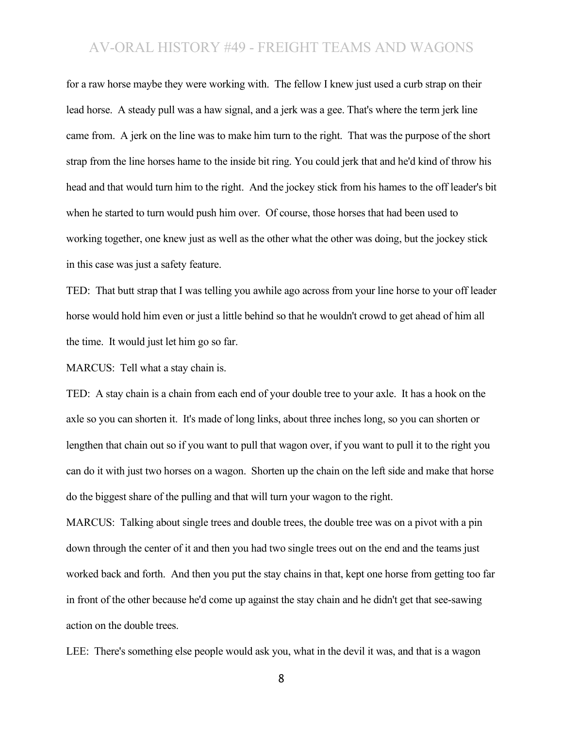for a raw horse maybe they were working with. The fellow I knew just used a curb strap on their lead horse. A steady pull was a haw signal, and a jerk was a gee. That's where the term jerk line came from. A jerk on the line was to make him turn to the right. That was the purpose of the short strap from the line horses hame to the inside bit ring. You could jerk that and he'd kind of throw his head and that would turn him to the right. And the jockey stick from his hames to the off leader's bit when he started to turn would push him over. Of course, those horses that had been used to working together, one knew just as well as the other what the other was doing, but the jockey stick in this case was just a safety feature.

TED: That butt strap that I was telling you awhile ago across from your line horse to your off leader horse would hold him even or just a little behind so that he wouldn't crowd to get ahead of him all the time. It would just let him go so far.

MARCUS: Tell what a stay chain is.

TED: A stay chain is a chain from each end of your double tree to your axle. It has a hook on the axle so you can shorten it. It's made of long links, about three inches long, so you can shorten or lengthen that chain out so if you want to pull that wagon over, if you want to pull it to the right you can do it with just two horses on a wagon. Shorten up the chain on the left side and make that horse do the biggest share of the pulling and that will turn your wagon to the right.

MARCUS: Talking about single trees and double trees, the double tree was on a pivot with a pin down through the center of it and then you had two single trees out on the end and the teams just worked back and forth. And then you put the stay chains in that, kept one horse from getting too far in front of the other because he'd come up against the stay chain and he didn't get that see-sawing action on the double trees.

LEE: There's something else people would ask you, what in the devil it was, and that is a wagon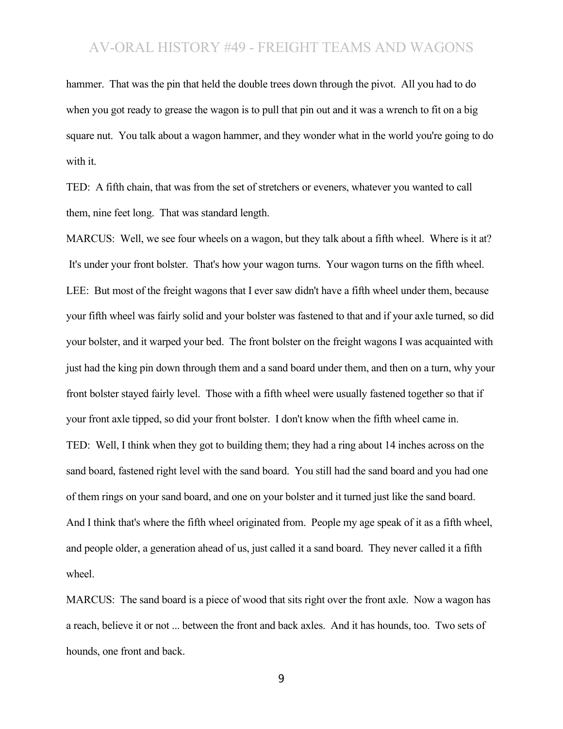hammer. That was the pin that held the double trees down through the pivot. All you had to do when you got ready to grease the wagon is to pull that pin out and it was a wrench to fit on a big square nut. You talk about a wagon hammer, and they wonder what in the world you're going to do with it.

TED: A fifth chain, that was from the set of stretchers or eveners, whatever you wanted to call them, nine feet long. That was standard length.

MARCUS: Well, we see four wheels on a wagon, but they talk about a fifth wheel. Where is it at? It's under your front bolster. That's how your wagon turns. Your wagon turns on the fifth wheel. LEE: But most of the freight wagons that I ever saw didn't have a fifth wheel under them, because your fifth wheel was fairly solid and your bolster was fastened to that and if your axle turned, so did your bolster, and it warped your bed. The front bolster on the freight wagons I was acquainted with just had the king pin down through them and a sand board under them, and then on a turn, why your front bolster stayed fairly level. Those with a fifth wheel were usually fastened together so that if your front axle tipped, so did your front bolster. I don't know when the fifth wheel came in. TED: Well, I think when they got to building them; they had a ring about 14 inches across on the sand board, fastened right level with the sand board. You still had the sand board and you had one of them rings on your sand board, and one on your bolster and it turned just like the sand board. And I think that's where the fifth wheel originated from. People my age speak of it as a fifth wheel, and people older, a generation ahead of us, just called it a sand board. They never called it a fifth wheel.

MARCUS: The sand board is a piece of wood that sits right over the front axle. Now a wagon has a reach, believe it or not ... between the front and back axles. And it has hounds, too. Two sets of hounds, one front and back.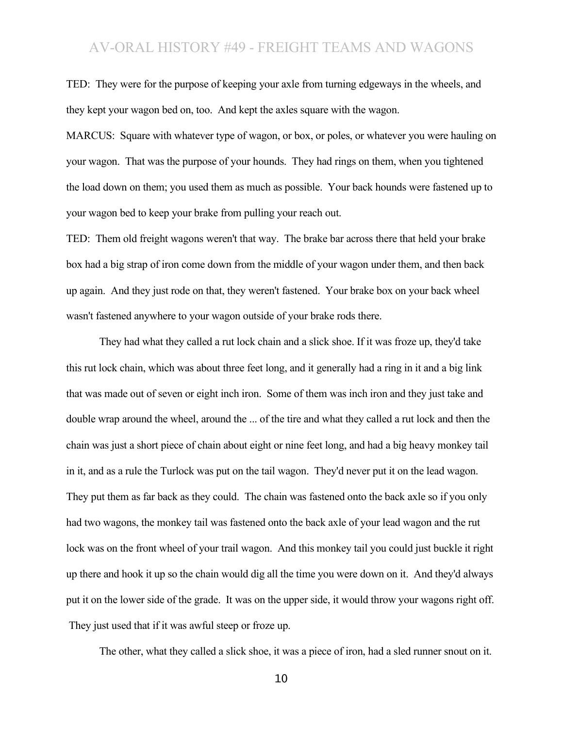TED: They were for the purpose of keeping your axle from turning edgeways in the wheels, and they kept your wagon bed on, too. And kept the axles square with the wagon.

MARCUS: Square with whatever type of wagon, or box, or poles, or whatever you were hauling on your wagon. That was the purpose of your hounds. They had rings on them, when you tightened the load down on them; you used them as much as possible. Your back hounds were fastened up to your wagon bed to keep your brake from pulling your reach out.

TED: Them old freight wagons weren't that way. The brake bar across there that held your brake box had a big strap of iron come down from the middle of your wagon under them, and then back up again. And they just rode on that, they weren't fastened. Your brake box on your back wheel wasn't fastened anywhere to your wagon outside of your brake rods there.

They had what they called a rut lock chain and a slick shoe. If it was froze up, they'd take this rut lock chain, which was about three feet long, and it generally had a ring in it and a big link that was made out of seven or eight inch iron. Some of them was inch iron and they just take and double wrap around the wheel, around the ... of the tire and what they called a rut lock and then the chain was just a short piece of chain about eight or nine feet long, and had a big heavy monkey tail in it, and as a rule the Turlock was put on the tail wagon. They'd never put it on the lead wagon. They put them as far back as they could. The chain was fastened onto the back axle so if you only had two wagons, the monkey tail was fastened onto the back axle of your lead wagon and the rut lock was on the front wheel of your trail wagon. And this monkey tail you could just buckle it right up there and hook it up so the chain would dig all the time you were down on it. And they'd always put it on the lower side of the grade. It was on the upper side, it would throw your wagons right off. They just used that if it was awful steep or froze up.

The other, what they called a slick shoe, it was a piece of iron, had a sled runner snout on it.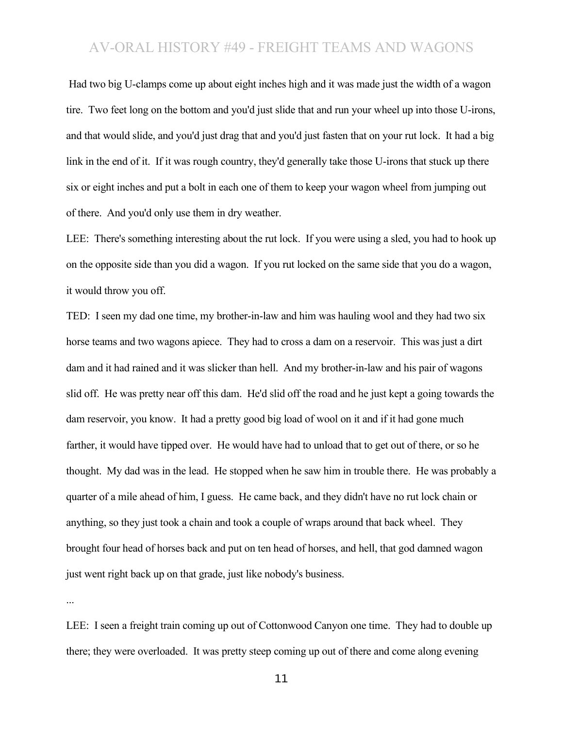Had two big U-clamps come up about eight inches high and it was made just the width of a wagon tire. Two feet long on the bottom and you'd just slide that and run your wheel up into those U-irons, and that would slide, and you'd just drag that and you'd just fasten that on your rut lock. It had a big link in the end of it. If it was rough country, they'd generally take those U-irons that stuck up there six or eight inches and put a bolt in each one of them to keep your wagon wheel from jumping out of there. And you'd only use them in dry weather.

LEE: There's something interesting about the rut lock. If you were using a sled, you had to hook up on the opposite side than you did a wagon. If you rut locked on the same side that you do a wagon, it would throw you off.

TED: I seen my dad one time, my brother-in-law and him was hauling wool and they had two six horse teams and two wagons apiece. They had to cross a dam on a reservoir. This was just a dirt dam and it had rained and it was slicker than hell. And my brother-in-law and his pair of wagons slid off. He was pretty near off this dam. He'd slid off the road and he just kept a going towards the dam reservoir, you know. It had a pretty good big load of wool on it and if it had gone much farther, it would have tipped over. He would have had to unload that to get out of there, or so he thought. My dad was in the lead. He stopped when he saw him in trouble there. He was probably a quarter of a mile ahead of him, I guess. He came back, and they didn't have no rut lock chain or anything, so they just took a chain and took a couple of wraps around that back wheel. They brought four head of horses back and put on ten head of horses, and hell, that god damned wagon just went right back up on that grade, just like nobody's business.

...

LEE: I seen a freight train coming up out of Cottonwood Canyon one time. They had to double up there; they were overloaded. It was pretty steep coming up out of there and come along evening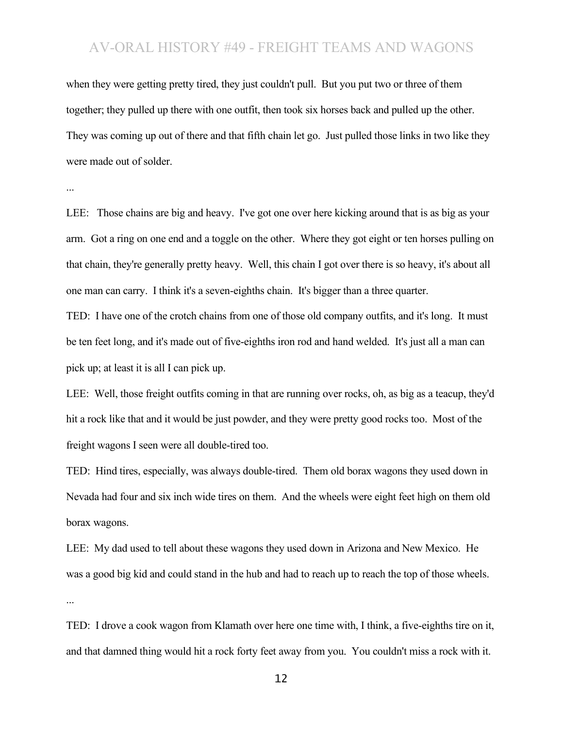when they were getting pretty tired, they just couldn't pull. But you put two or three of them together; they pulled up there with one outfit, then took six horses back and pulled up the other. They was coming up out of there and that fifth chain let go. Just pulled those links in two like they were made out of solder.

...

LEE: Those chains are big and heavy. I've got one over here kicking around that is as big as your arm. Got a ring on one end and a toggle on the other. Where they got eight or ten horses pulling on that chain, they're generally pretty heavy. Well, this chain I got over there is so heavy, it's about all one man can carry. I think it's a seven-eighths chain. It's bigger than a three quarter.

TED: I have one of the crotch chains from one of those old company outfits, and it's long. It must be ten feet long, and it's made out of five-eighths iron rod and hand welded. It's just all a man can pick up; at least it is all I can pick up.

LEE: Well, those freight outfits coming in that are running over rocks, oh, as big as a teacup, they'd hit a rock like that and it would be just powder, and they were pretty good rocks too. Most of the freight wagons I seen were all double-tired too.

TED: Hind tires, especially, was always double-tired. Them old borax wagons they used down in Nevada had four and six inch wide tires on them. And the wheels were eight feet high on them old borax wagons.

LEE: My dad used to tell about these wagons they used down in Arizona and New Mexico. He was a good big kid and could stand in the hub and had to reach up to reach the top of those wheels. ...

TED: I drove a cook wagon from Klamath over here one time with, I think, a five-eighths tire on it, and that damned thing would hit a rock forty feet away from you. You couldn't miss a rock with it.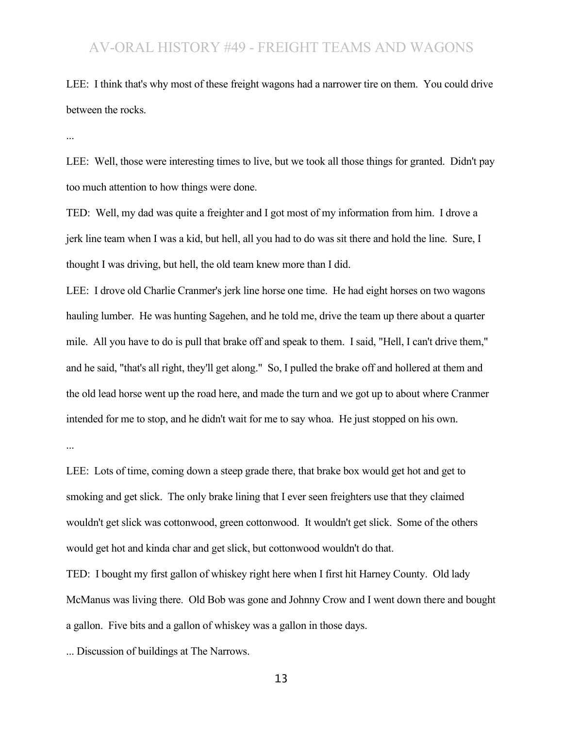LEE: I think that's why most of these freight wagons had a narrower tire on them. You could drive between the rocks.

...

LEE: Well, those were interesting times to live, but we took all those things for granted. Didn't pay too much attention to how things were done.

TED: Well, my dad was quite a freighter and I got most of my information from him. I drove a jerk line team when I was a kid, but hell, all you had to do was sit there and hold the line. Sure, I thought I was driving, but hell, the old team knew more than I did.

LEE: I drove old Charlie Cranmer's jerk line horse one time. He had eight horses on two wagons hauling lumber. He was hunting Sagehen, and he told me, drive the team up there about a quarter mile. All you have to do is pull that brake off and speak to them. I said, "Hell, I can't drive them," and he said, "that's all right, they'll get along." So, I pulled the brake off and hollered at them and the old lead horse went up the road here, and made the turn and we got up to about where Cranmer intended for me to stop, and he didn't wait for me to say whoa. He just stopped on his own.

...

LEE: Lots of time, coming down a steep grade there, that brake box would get hot and get to smoking and get slick. The only brake lining that I ever seen freighters use that they claimed wouldn't get slick was cottonwood, green cottonwood. It wouldn't get slick. Some of the others would get hot and kinda char and get slick, but cottonwood wouldn't do that.

TED: I bought my first gallon of whiskey right here when I first hit Harney County. Old lady McManus was living there. Old Bob was gone and Johnny Crow and I went down there and bought a gallon. Five bits and a gallon of whiskey was a gallon in those days.

... Discussion of buildings at The Narrows.